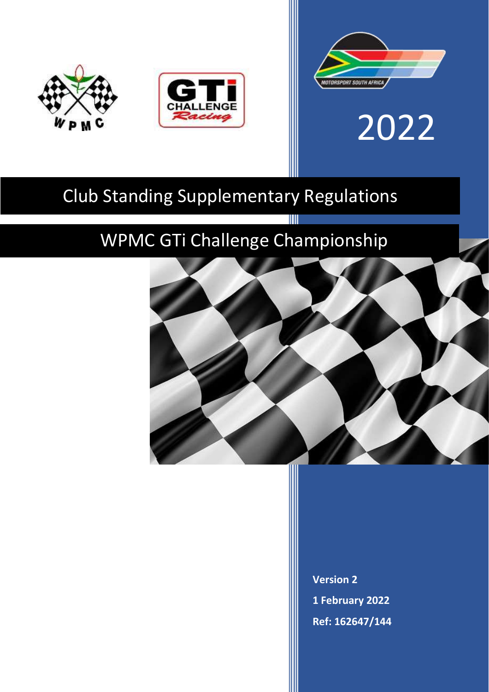



# 2022

# Club Standing Supplementary Regulations

# WPMC GTi Challenge Championship

W



**Version 2 1 February 2022 Ref: 162647/144**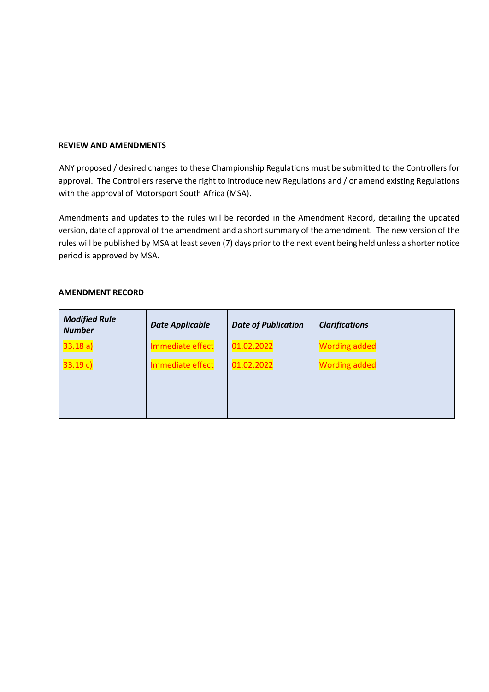#### **REVIEW AND AMENDMENTS**

ANY proposed / desired changes to these Championship Regulations must be submitted to the Controllers for approval. The Controllers reserve the right to introduce new Regulations and / or amend existing Regulations with the approval of Motorsport South Africa (MSA).

Amendments and updates to the rules will be recorded in the Amendment Record, detailing the updated version, date of approval of the amendment and a short summary of the amendment. The new version of the rules will be published by MSA at least seven (7) days prior to the next event being held unless a shorter notice period is approved by MSA.

| <b>Modified Rule</b><br><b>Number</b> | <b>Date Applicable</b> | <b>Date of Publication</b> | <b>Clarifications</b> |
|---------------------------------------|------------------------|----------------------------|-----------------------|
| 33.18a                                | Immediate effect       | 01.02.2022                 | <b>Wording added</b>  |
| 33.19 c                               | Immediate effect       | 01.02.2022                 | <b>Wording added</b>  |

#### **AMENDMENT RECORD**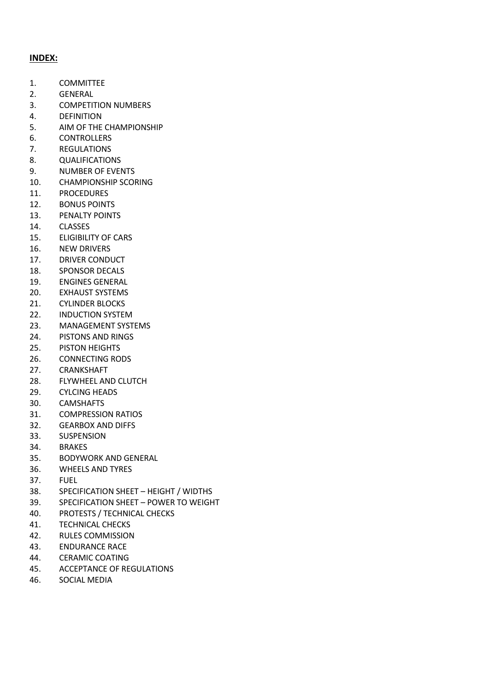# **INDEX:**

- 1. COMMITTEE
- 2. GENERAL
- 3. COMPETITION NUMBERS
- 4. DEFINITION
- 5. AIM OF THE CHAMPIONSHIP
- 6. CONTROLLERS
- 7. REGULATIONS
- 8. QUALIFICATIONS
- 9. NUMBER OF EVENTS
- 10. CHAMPIONSHIP SCORING
- 11. PROCEDURES
- 12. BONUS POINTS
- 13. PENALTY POINTS
- 14. CLASSES
- 15. ELIGIBILITY OF CARS
- 16. NEW DRIVERS
- 17. DRIVER CONDUCT
- 18. SPONSOR DECALS
- 19. ENGINES GENERAL
- 20. EXHAUST SYSTEMS
- 21. CYLINDER BLOCKS
- 22. INDUCTION SYSTEM
- 23. MANAGEMENT SYSTEMS
- 24. PISTONS AND RINGS
- 25. PISTON HEIGHTS
- 26. CONNECTING RODS
- 27. CRANKSHAFT
- 28. FLYWHEEL AND CLUTCH
- 29. CYLCING HEADS
- 30. CAMSHAFTS
- 31. COMPRESSION RATIOS
- 32. GEARBOX AND DIFFS
- 33. SUSPENSION
- 34. BRAKES
- 35. BODYWORK AND GENERAL
- 36. WHEELS AND TYRES
- 37. FUEL
- 38. SPECIFICATION SHEET HEIGHT / WIDTHS
- 39. SPECIFICATION SHEET POWER TO WEIGHT
- 40. PROTESTS / TECHNICAL CHECKS
- 41. TECHNICAL CHECKS
- 42. RULES COMMISSION
- 43. ENDURANCE RACE
- 44. CERAMIC COATING
- 45. ACCEPTANCE OF REGULATIONS
- 46. SOCIAL MEDIA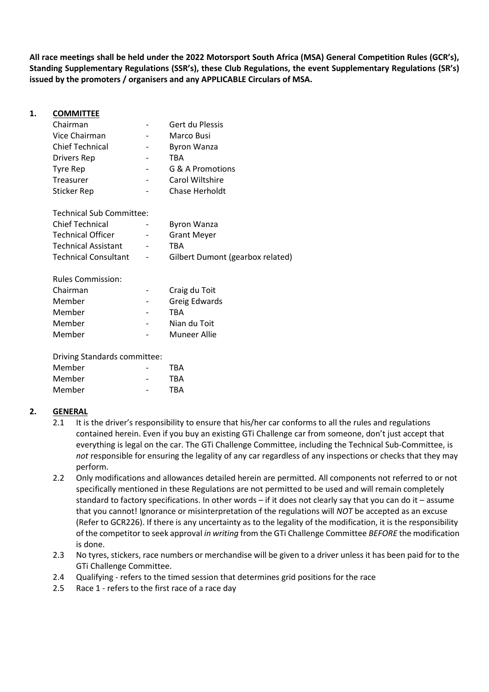**All race meetings shall be held under the 2022 Motorsport South Africa (MSA) General Competition Rules (GCR's), Standing Supplementary Regulations (SSR's), these Club Regulations, the event Supplementary Regulations (SR's) issued by the promoters / organisers and any APPLICABLE Circulars of MSA.** 

| 1. | <b>COMMITTEE</b>                |                    |  |
|----|---------------------------------|--------------------|--|
|    | Chairman                        | Gert du Plessis    |  |
|    | Vice Chairman                   | Marco Busi         |  |
|    | <b>Chief Technical</b>          | <b>Byron Wanza</b> |  |
|    | Drivers Rep                     | <b>TBA</b>         |  |
|    | Tyre Rep                        | G & A Promotions   |  |
|    | Treasurer                       | Carol Wiltshire    |  |
|    | <b>Sticker Rep</b>              | Chase Herholdt     |  |
|    | <b>Technical Sub Committee:</b> |                    |  |
|    | <b>Chief Technical</b>          | <b>Byron Wanza</b> |  |

| <b>Chief Technical</b>      | $\sim$                   | <b>Byron Wanza</b>               |
|-----------------------------|--------------------------|----------------------------------|
| <b>Technical Officer</b>    | $\overline{\phantom{a}}$ | <b>Grant Meyer</b>               |
| <b>Technical Assistant</b>  | $\sim$                   | TRA                              |
| <b>Technical Consultant</b> | $\overline{\phantom{a}}$ | Gilbert Dumont (gearbox related) |

| Craig du Toit        |
|----------------------|
| <b>Greig Edwards</b> |
|                      |
| Nian du Toit         |
| Muneer Allie         |
|                      |

Driving Standards committee:

| Member | <b>TBA</b> |
|--------|------------|
| Member | TBA        |
| Member | <b>TBA</b> |

# **2. GENERAL**

- 2.1 It is the driver's responsibility to ensure that his/her car conforms to all the rules and regulations contained herein. Even if you buy an existing GTi Challenge car from someone, don't just accept that everything is legal on the car. The GTi Challenge Committee, including the Technical Sub-Committee, is *not* responsible for ensuring the legality of any car regardless of any inspections or checks that they may perform.
- 2.2 Only modifications and allowances detailed herein are permitted. All components not referred to or not specifically mentioned in these Regulations are not permitted to be used and will remain completely standard to factory specifications. In other words – if it does not clearly say that you can do it – assume that you cannot! Ignorance or misinterpretation of the regulations will *NOT* be accepted as an excuse (Refer to GCR226). If there is any uncertainty as to the legality of the modification, it is the responsibility of the competitor to seek approval *in writing* from the GTi Challenge Committee *BEFORE* the modification is done.
- 2.3 No tyres, stickers, race numbers or merchandise will be given to a driver unless it has been paid for to the GTi Challenge Committee.
- 2.4 Qualifying refers to the timed session that determines grid positions for the race
- 2.5 Race 1 refers to the first race of a race day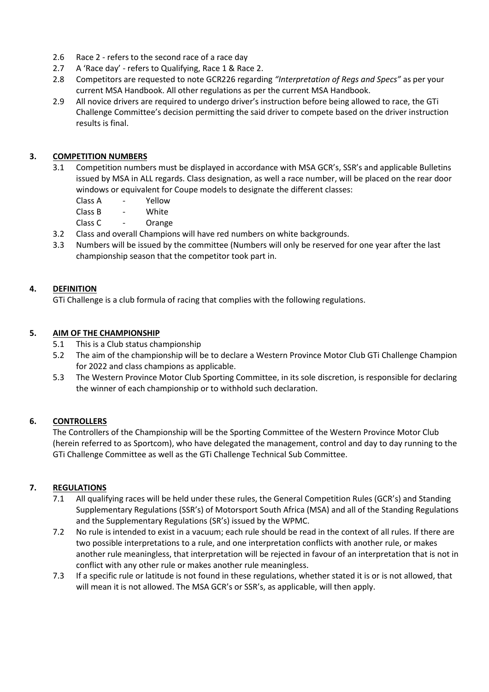- 2.6 Race 2 refers to the second race of a race day
- 2.7 A 'Race day' refers to Qualifying, Race 1 & Race 2.
- 2.8 Competitors are requested to note GCR226 regarding *"Interpretation of Regs and Specs"* as per your current MSA Handbook. All other regulations as per the current MSA Handbook.
- 2.9 All novice drivers are required to undergo driver's instruction before being allowed to race, the GTi Challenge Committee's decision permitting the said driver to compete based on the driver instruction results is final.

# **3. COMPETITION NUMBERS**

- 3.1 Competition numbers must be displayed in accordance with MSA GCR's, SSR's and applicable Bulletins issued by MSA in ALL regards. Class designation, as well a race number, will be placed on the rear door windows or equivalent for Coupe models to designate the different classes:
	- Class A Yellow
	- Class B White
	- Class C Orange
- 3.2 Class and overall Champions will have red numbers on white backgrounds.
- 3.3 Numbers will be issued by the committee (Numbers will only be reserved for one year after the last championship season that the competitor took part in.

# **4. DEFINITION**

GTi Challenge is a club formula of racing that complies with the following regulations.

# **5. AIM OF THE CHAMPIONSHIP**

- 5.1 This is a Club status championship
- 5.2 The aim of the championship will be to declare a Western Province Motor Club GTi Challenge Champion for 2022 and class champions as applicable.
- 5.3 The Western Province Motor Club Sporting Committee, in its sole discretion, is responsible for declaring the winner of each championship or to withhold such declaration.

# **6. CONTROLLERS**

The Controllers of the Championship will be the Sporting Committee of the Western Province Motor Club (herein referred to as Sportcom), who have delegated the management, control and day to day running to the GTi Challenge Committee as well as the GTi Challenge Technical Sub Committee.

# **7. REGULATIONS**

- 7.1 All qualifying races will be held under these rules, the General Competition Rules (GCR's) and Standing Supplementary Regulations (SSR's) of Motorsport South Africa (MSA) and all of the Standing Regulations and the Supplementary Regulations (SR's) issued by the WPMC.
- 7.2 No rule is intended to exist in a vacuum; each rule should be read in the context of all rules. If there are two possible interpretations to a rule, and one interpretation conflicts with another rule, or makes another rule meaningless, that interpretation will be rejected in favour of an interpretation that is not in conflict with any other rule or makes another rule meaningless.
- 7.3 If a specific rule or latitude is not found in these regulations, whether stated it is or is not allowed, that will mean it is not allowed. The MSA GCR's or SSR's, as applicable, will then apply.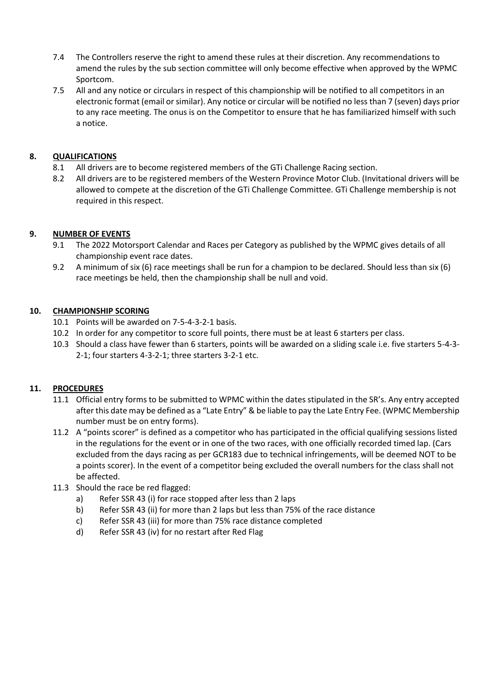- 7.4 The Controllers reserve the right to amend these rules at their discretion. Any recommendations to amend the rules by the sub section committee will only become effective when approved by the WPMC Sportcom.
- 7.5 All and any notice or circulars in respect of this championship will be notified to all competitors in an electronic format (email or similar). Any notice or circular will be notified no less than 7 (seven) days prior to any race meeting. The onus is on the Competitor to ensure that he has familiarized himself with such a notice.

# **8. QUALIFICATIONS**

- 8.1 All drivers are to become registered members of the GTi Challenge Racing section.
- 8.2 All drivers are to be registered members of the Western Province Motor Club. (Invitational drivers will be allowed to compete at the discretion of the GTi Challenge Committee. GTi Challenge membership is not required in this respect.

# **9. NUMBER OF EVENTS**

- 9.1 The 2022 Motorsport Calendar and Races per Category as published by the WPMC gives details of all championship event race dates.
- 9.2 A minimum of six (6) race meetings shall be run for a champion to be declared. Should less than six (6) race meetings be held, then the championship shall be null and void.

# **10. CHAMPIONSHIP SCORING**

- 10.1 Points will be awarded on 7-5-4-3-2-1 basis.
- 10.2 In order for any competitor to score full points, there must be at least 6 starters per class.
- 10.3 Should a class have fewer than 6 starters, points will be awarded on a sliding scale i.e. five starters 5-4-3- 2-1; four starters 4-3-2-1; three starters 3-2-1 etc.

# **11. PROCEDURES**

- 11.1 Official entry forms to be submitted to WPMC within the dates stipulated in the SR's. Any entry accepted after this date may be defined as a "Late Entry" & be liable to pay the Late Entry Fee. (WPMC Membership number must be on entry forms).
- 11.2 A "points scorer" is defined as a competitor who has participated in the official qualifying sessions listed in the regulations for the event or in one of the two races, with one officially recorded timed lap. (Cars excluded from the days racing as per GCR183 due to technical infringements, will be deemed NOT to be a points scorer). In the event of a competitor being excluded the overall numbers for the class shall not be affected.
- 11.3 Should the race be red flagged:
	- a) Refer SSR 43 (i) for race stopped after less than 2 laps
	- b) Refer SSR 43 (ii) for more than 2 laps but less than 75% of the race distance
	- c) Refer SSR 43 (iii) for more than 75% race distance completed
	- d) Refer SSR 43 (iv) for no restart after Red Flag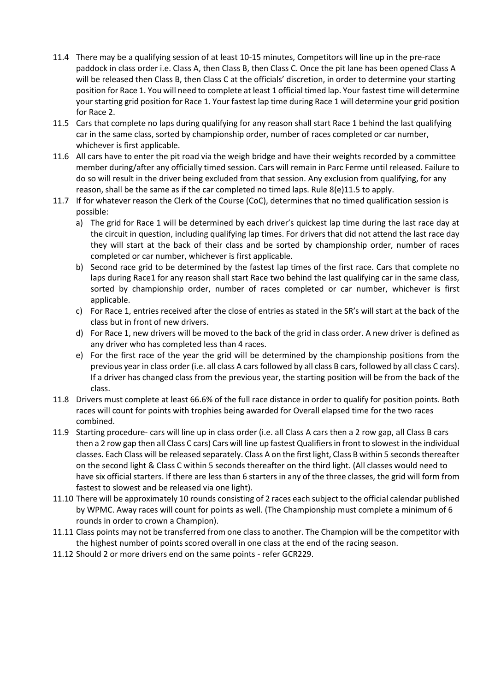- 11.4 There may be a qualifying session of at least 10-15 minutes, Competitors will line up in the pre-race paddock in class order i.e. Class A, then Class B, then Class C. Once the pit lane has been opened Class A will be released then Class B, then Class C at the officials' discretion, in order to determine your starting position for Race 1. You will need to complete at least 1 official timed lap. Your fastest time will determine your starting grid position for Race 1. Your fastest lap time during Race 1 will determine your grid position for Race 2.
- 11.5 Cars that complete no laps during qualifying for any reason shall start Race 1 behind the last qualifying car in the same class, sorted by championship order, number of races completed or car number, whichever is first applicable.
- 11.6 All cars have to enter the pit road via the weigh bridge and have their weights recorded by a committee member during/after any officially timed session. Cars will remain in Parc Ferme until released. Failure to do so will result in the driver being excluded from that session. Any exclusion from qualifying, for any reason, shall be the same as if the car completed no timed laps. Rule 8(e)11.5 to apply.
- 11.7 If for whatever reason the Clerk of the Course (CoC), determines that no timed qualification session is possible:
	- a) The grid for Race 1 will be determined by each driver's quickest lap time during the last race day at the circuit in question, including qualifying lap times. For drivers that did not attend the last race day they will start at the back of their class and be sorted by championship order, number of races completed or car number, whichever is first applicable.
	- b) Second race grid to be determined by the fastest lap times of the first race. Cars that complete no laps during Race1 for any reason shall start Race two behind the last qualifying car in the same class, sorted by championship order, number of races completed or car number, whichever is first applicable.
	- c) For Race 1, entries received after the close of entries as stated in the SR's will start at the back of the class but in front of new drivers.
	- d) For Race 1, new drivers will be moved to the back of the grid in class order. A new driver is defined as any driver who has completed less than 4 races.
	- e) For the first race of the year the grid will be determined by the championship positions from the previous year in class order (i.e. all class A cars followed by all class B cars, followed by all class C cars). If a driver has changed class from the previous year, the starting position will be from the back of the class.
- 11.8 Drivers must complete at least 66.6% of the full race distance in order to qualify for position points. Both races will count for points with trophies being awarded for Overall elapsed time for the two races combined.
- 11.9 Starting procedure- cars will line up in class order (i.e. all Class A cars then a 2 row gap, all Class B cars then a 2 row gap then all Class C cars) Cars will line up fastest Qualifiers in front to slowest in the individual classes. Each Class will be released separately. Class A on the first light, Class B within 5 seconds thereafter on the second light & Class C within 5 seconds thereafter on the third light. (All classes would need to have six official starters. If there are less than 6 starters in any of the three classes, the grid will form from fastest to slowest and be released via one light).
- 11.10 There will be approximately 10 rounds consisting of 2 races each subject to the official calendar published by WPMC. Away races will count for points as well. (The Championship must complete a minimum of 6 rounds in order to crown a Champion).
- 11.11 Class points may not be transferred from one class to another. The Champion will be the competitor with the highest number of points scored overall in one class at the end of the racing season.
- 11.12 Should 2 or more drivers end on the same points refer GCR229.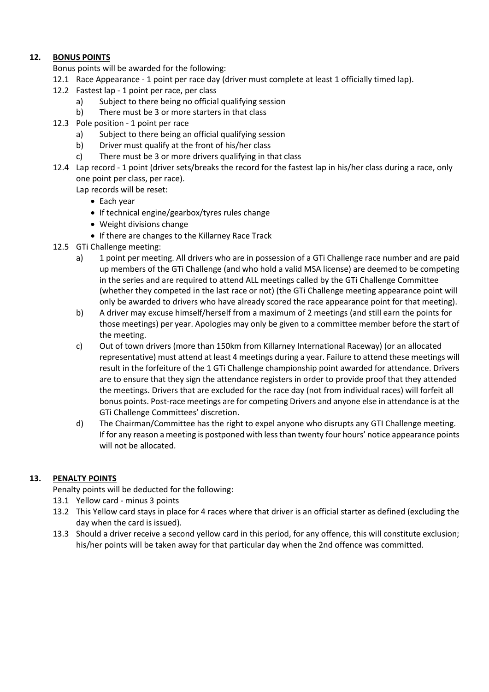# **12***.* **BONUS POINTS**

- Bonus points will be awarded for the following:
- 12.1 Race Appearance 1 point per race day (driver must complete at least 1 officially timed lap).
- 12.2 Fastest lap 1 point per race, per class
	- a) Subject to there being no official qualifying session
	- b) There must be 3 or more starters in that class
- 12.3 Pole position 1 point per race
	- a) Subject to there being an official qualifying session
	- b) Driver must qualify at the front of his/her class
	- c) There must be 3 or more drivers qualifying in that class
- 12.4 Lap record 1 point (driver sets/breaks the record for the fastest lap in his/her class during a race, only one point per class, per race).

Lap records will be reset:

- Each year
- If technical engine/gearbox/tyres rules change
- Weight divisions change
- If there are changes to the Killarney Race Track
- 12.5 GTi Challenge meeting:
	- a) 1 point per meeting. All drivers who are in possession of a GTi Challenge race number and are paid up members of the GTi Challenge (and who hold a valid MSA license) are deemed to be competing in the series and are required to attend ALL meetings called by the GTi Challenge Committee (whether they competed in the last race or not) (the GTi Challenge meeting appearance point will only be awarded to drivers who have already scored the race appearance point for that meeting).
	- b) A driver may excuse himself/herself from a maximum of 2 meetings (and still earn the points for those meetings) per year. Apologies may only be given to a committee member before the start of the meeting.
	- c) Out of town drivers (more than 150km from Killarney International Raceway) (or an allocated representative) must attend at least 4 meetings during a year. Failure to attend these meetings will result in the forfeiture of the 1 GTi Challenge championship point awarded for attendance. Drivers are to ensure that they sign the attendance registers in order to provide proof that they attended the meetings. Drivers that are excluded for the race day (not from individual races) will forfeit all bonus points. Post-race meetings are for competing Drivers and anyone else in attendance is at the GTi Challenge Committees' discretion.
	- d) The Chairman/Committee has the right to expel anyone who disrupts any GTI Challenge meeting. If for any reason a meeting is postponed with less than twenty four hours' notice appearance points will not be allocated.

# **13. PENALTY POINTS**

Penalty points will be deducted for the following:

- 13.1 Yellow card minus 3 points
- 13.2 This Yellow card stays in place for 4 races where that driver is an official starter as defined (excluding the day when the card is issued).
- 13.3 Should a driver receive a second yellow card in this period, for any offence, this will constitute exclusion; his/her points will be taken away for that particular day when the 2nd offence was committed.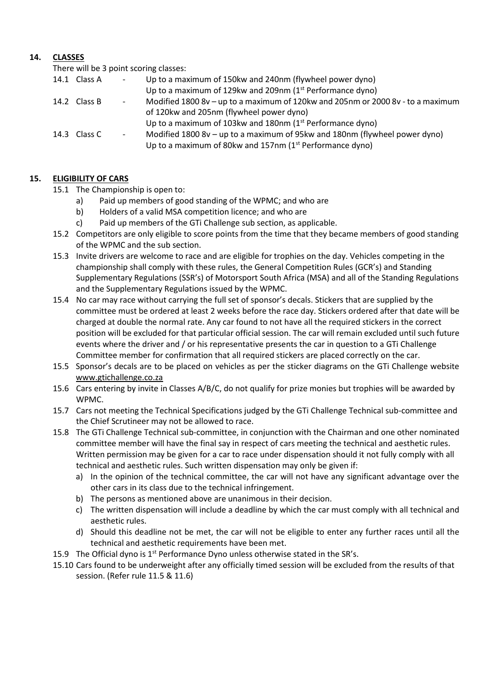# **14. CLASSES**

There will be 3 point scoring classes:

| 14.1 Class A | $\overline{\phantom{a}}$ | Up to a maximum of 150kw and 240nm (flywheel power dyno)                        |
|--------------|--------------------------|---------------------------------------------------------------------------------|
|              |                          | Up to a maximum of 129kw and 209nm (1 <sup>st</sup> Performance dyno)           |
| 14.2 Class B | $\overline{\phantom{a}}$ | Modified 1800 8v - up to a maximum of 120kw and 205nm or 2000 8v - to a maximum |
|              |                          | of 120kw and 205nm (flywheel power dyno)                                        |
|              |                          | Up to a maximum of 103kw and 180nm $(1st$ Performance dyno)                     |
| 14.3 Class C | $\overline{\phantom{a}}$ | Modified 1800 8v – up to a maximum of 95kw and 180nm (flywheel power dyno)      |
|              |                          | Up to a maximum of 80kw and 157nm $(1st$ Performance dyno)                      |

# **15. ELIGIBILITY OF CARS**

15.1 The Championship is open to:

- a) Paid up members of good standing of the WPMC; and who are
- b) Holders of a valid MSA competition licence; and who are
- c) Paid up members of the GTi Challenge sub section, as applicable.
- 15.2 Competitors are only eligible to score points from the time that they became members of good standing of the WPMC and the sub section.
- 15.3 Invite drivers are welcome to race and are eligible for trophies on the day. Vehicles competing in the championship shall comply with these rules, the General Competition Rules (GCR's) and Standing Supplementary Regulations (SSR's) of Motorsport South Africa (MSA) and all of the Standing Regulations and the Supplementary Regulations issued by the WPMC.
- 15.4 No car may race without carrying the full set of sponsor's decals. Stickers that are supplied by the committee must be ordered at least 2 weeks before the race day. Stickers ordered after that date will be charged at double the normal rate. Any car found to not have all the required stickers in the correct position will be excluded for that particular official session. The car will remain excluded until such future events where the driver and / or his representative presents the car in question to a GTi Challenge Committee member for confirmation that all required stickers are placed correctly on the car.
- 15.5 Sponsor's decals are to be placed on vehicles as per the sticker diagrams on the GTi Challenge website [www.gtichallenge.co.za](http://www.gtichallenge.co.za/)
- 15.6 Cars entering by invite in Classes A/B/C, do not qualify for prize monies but trophies will be awarded by WPMC.
- 15.7 Cars not meeting the Technical Specifications judged by the GTi Challenge Technical sub-committee and the Chief Scrutineer may not be allowed to race.
- 15.8 The GTi Challenge Technical sub-committee, in conjunction with the Chairman and one other nominated committee member will have the final say in respect of cars meeting the technical and aesthetic rules. Written permission may be given for a car to race under dispensation should it not fully comply with all technical and aesthetic rules. Such written dispensation may only be given if:
	- a) In the opinion of the technical committee, the car will not have any significant advantage over the other cars in its class due to the technical infringement.
	- b) The persons as mentioned above are unanimous in their decision.
	- c) The written dispensation will include a deadline by which the car must comply with all technical and aesthetic rules.
	- d) Should this deadline not be met, the car will not be eligible to enter any further races until all the technical and aesthetic requirements have been met.
- 15.9 The Official dyno is  $1^{st}$  Performance Dyno unless otherwise stated in the SR's.
- 15.10 Cars found to be underweight after any officially timed session will be excluded from the results of that session. (Refer rule 11.5 & 11.6)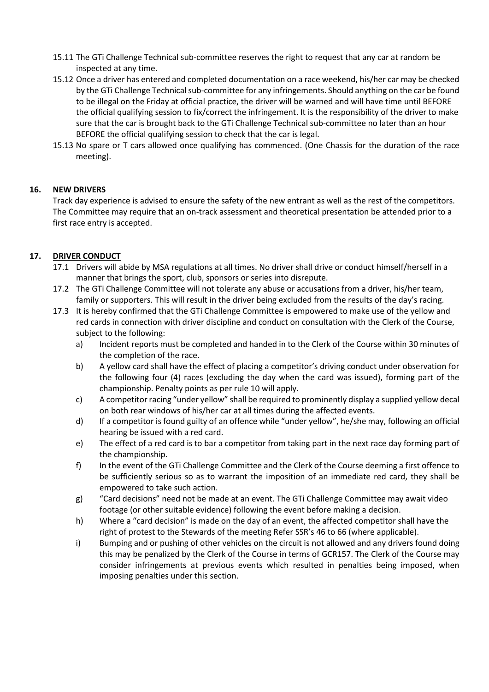- 15.11 The GTi Challenge Technical sub-committee reserves the right to request that any car at random be inspected at any time.
- 15.12 Once a driver has entered and completed documentation on a race weekend, his/her car may be checked by the GTi Challenge Technical sub-committee for any infringements. Should anything on the car be found to be illegal on the Friday at official practice, the driver will be warned and will have time until BEFORE the official qualifying session to fix/correct the infringement. It is the responsibility of the driver to make sure that the car is brought back to the GTi Challenge Technical sub-committee no later than an hour BEFORE the official qualifying session to check that the car is legal.
- 15.13 No spare or T cars allowed once qualifying has commenced. (One Chassis for the duration of the race meeting).

# **16. NEW DRIVERS**

Track day experience is advised to ensure the safety of the new entrant as well as the rest of the competitors. The Committee may require that an on-track assessment and theoretical presentation be attended prior to a first race entry is accepted.

# **17. DRIVER CONDUCT**

- 17.1 Drivers will abide by MSA regulations at all times. No driver shall drive or conduct himself/herself in a manner that brings the sport, club, sponsors or series into disrepute.
- 17.2 The GTi Challenge Committee will not tolerate any abuse or accusations from a driver, his/her team, family or supporters. This will result in the driver being excluded from the results of the day's racing.
- 17.3 It is hereby confirmed that the GTi Challenge Committee is empowered to make use of the yellow and red cards in connection with driver discipline and conduct on consultation with the Clerk of the Course, subject to the following:
	- a) Incident reports must be completed and handed in to the Clerk of the Course within 30 minutes of the completion of the race.
	- b) A yellow card shall have the effect of placing a competitor's driving conduct under observation for the following four (4) races (excluding the day when the card was issued), forming part of the championship. Penalty points as per rule 10 will apply.
	- c) A competitor racing "under yellow" shall be required to prominently display a supplied yellow decal on both rear windows of his/her car at all times during the affected events.
	- d) If a competitor is found guilty of an offence while "under yellow", he/she may, following an official hearing be issued with a red card.
	- e) The effect of a red card is to bar a competitor from taking part in the next race day forming part of the championship.
	- f) In the event of the GTi Challenge Committee and the Clerk of the Course deeming a first offence to be sufficiently serious so as to warrant the imposition of an immediate red card, they shall be empowered to take such action.
	- g) "Card decisions" need not be made at an event. The GTi Challenge Committee may await video footage (or other suitable evidence) following the event before making a decision.
	- h) Where a "card decision" is made on the day of an event, the affected competitor shall have the right of protest to the Stewards of the meeting Refer SSR's 46 to 66 (where applicable).
	- i) Bumping and or pushing of other vehicles on the circuit is not allowed and any drivers found doing this may be penalized by the Clerk of the Course in terms of GCR157. The Clerk of the Course may consider infringements at previous events which resulted in penalties being imposed, when imposing penalties under this section.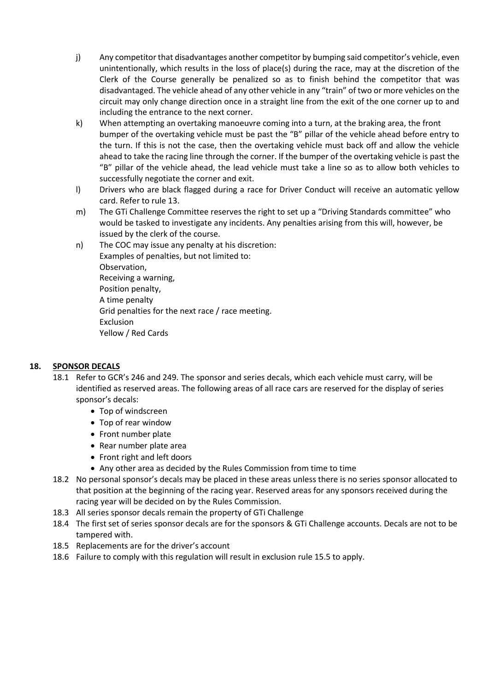- j) Any competitor that disadvantages another competitor by bumping said competitor's vehicle, even unintentionally, which results in the loss of place(s) during the race, may at the discretion of the Clerk of the Course generally be penalized so as to finish behind the competitor that was disadvantaged. The vehicle ahead of any other vehicle in any "train" of two or more vehicles on the circuit may only change direction once in a straight line from the exit of the one corner up to and including the entrance to the next corner.
- k) When attempting an overtaking manoeuvre coming into a turn, at the braking area, the front bumper of the overtaking vehicle must be past the "B" pillar of the vehicle ahead before entry to the turn. If this is not the case, then the overtaking vehicle must back off and allow the vehicle ahead to take the racing line through the corner. If the bumper of the overtaking vehicle is past the "B" pillar of the vehicle ahead, the lead vehicle must take a line so as to allow both vehicles to successfully negotiate the corner and exit.
- l) Drivers who are black flagged during a race for Driver Conduct will receive an automatic yellow card. Refer to rule 13.
- m) The GTi Challenge Committee reserves the right to set up a "Driving Standards committee" who would be tasked to investigate any incidents. Any penalties arising from this will, however, be issued by the clerk of the course.
- n) The COC may issue any penalty at his discretion: Examples of penalties, but not limited to: Observation, Receiving a warning, Position penalty, A time penalty Grid penalties for the next race / race meeting. Exclusion Yellow / Red Cards

# **18. SPONSOR DECALS**

- 18.1 Refer to GCR's 246 and 249. The sponsor and series decals, which each vehicle must carry, will be identified as reserved areas. The following areas of all race cars are reserved for the display of series sponsor's decals:
	- Top of windscreen
	- Top of rear window
	- Front number plate
	- Rear number plate area
	- Front right and left doors
	- Any other area as decided by the Rules Commission from time to time
- 18.2 No personal sponsor's decals may be placed in these areas unless there is no series sponsor allocated to that position at the beginning of the racing year. Reserved areas for any sponsors received during the racing year will be decided on by the Rules Commission.
- 18.3 All series sponsor decals remain the property of GTi Challenge
- 18.4 The first set of series sponsor decals are for the sponsors & GTi Challenge accounts. Decals are not to be tampered with.
- 18.5 Replacements are for the driver's account
- 18.6 Failure to comply with this regulation will result in exclusion rule 15.5 to apply.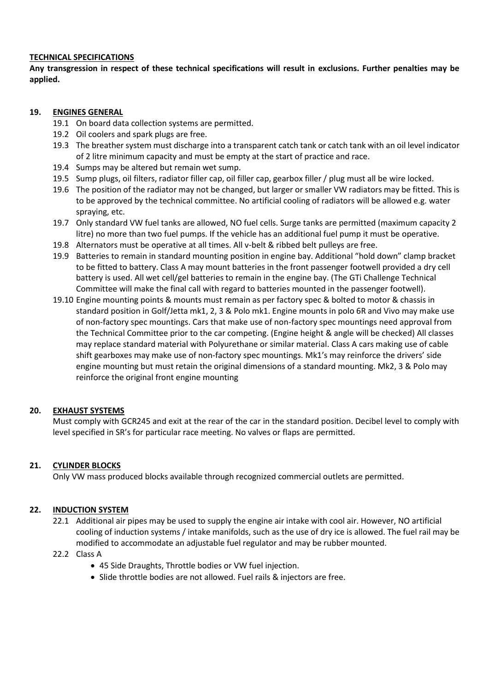#### **TECHNICAL SPECIFICATIONS**

**Any transgression in respect of these technical specifications will result in exclusions. Further penalties may be applied.**

# **19. ENGINES GENERAL**

- 19.1 On board data collection systems are permitted.
- 19.2 Oil coolers and spark plugs are free.
- 19.3 The breather system must discharge into a transparent catch tank or catch tank with an oil level indicator of 2 litre minimum capacity and must be empty at the start of practice and race.
- 19.4 Sumps may be altered but remain wet sump.
- 19.5 Sump plugs, oil filters, radiator filler cap, oil filler cap, gearbox filler / plug must all be wire locked.
- 19.6 The position of the radiator may not be changed, but larger or smaller VW radiators may be fitted. This is to be approved by the technical committee. No artificial cooling of radiators will be allowed e.g. water spraying, etc.
- 19.7 Only standard VW fuel tanks are allowed, NO fuel cells. Surge tanks are permitted (maximum capacity 2 litre) no more than two fuel pumps. If the vehicle has an additional fuel pump it must be operative.
- 19.8 Alternators must be operative at all times. All v-belt & ribbed belt pulleys are free.
- 19.9 Batteries to remain in standard mounting position in engine bay. Additional "hold down" clamp bracket to be fitted to battery. Class A may mount batteries in the front passenger footwell provided a dry cell battery is used. All wet cell/gel batteries to remain in the engine bay. (The GTi Challenge Technical Committee will make the final call with regard to batteries mounted in the passenger footwell).
- 19.10 Engine mounting points & mounts must remain as per factory spec & bolted to motor & chassis in standard position in Golf/Jetta mk1, 2, 3 & Polo mk1. Engine mounts in polo 6R and Vivo may make use of non-factory spec mountings. Cars that make use of non-factory spec mountings need approval from the Technical Committee prior to the car competing. (Engine height & angle will be checked) All classes may replace standard material with Polyurethane or similar material. Class A cars making use of cable shift gearboxes may make use of non-factory spec mountings. Mk1's may reinforce the drivers' side engine mounting but must retain the original dimensions of a standard mounting. Mk2, 3 & Polo may reinforce the original front engine mounting

# **20. EXHAUST SYSTEMS**

Must comply with GCR245 and exit at the rear of the car in the standard position. Decibel level to comply with level specified in SR's for particular race meeting. No valves or flaps are permitted.

# **21. CYLINDER BLOCKS**

Only VW mass produced blocks available through recognized commercial outlets are permitted.

#### **22. INDUCTION SYSTEM**

22.1 Additional air pipes may be used to supply the engine air intake with cool air. However, NO artificial cooling of induction systems / intake manifolds, such as the use of dry ice is allowed. The fuel rail may be modified to accommodate an adjustable fuel regulator and may be rubber mounted.

#### 22.2 Class A

- 45 Side Draughts, Throttle bodies or VW fuel injection.
- Slide throttle bodies are not allowed. Fuel rails & injectors are free.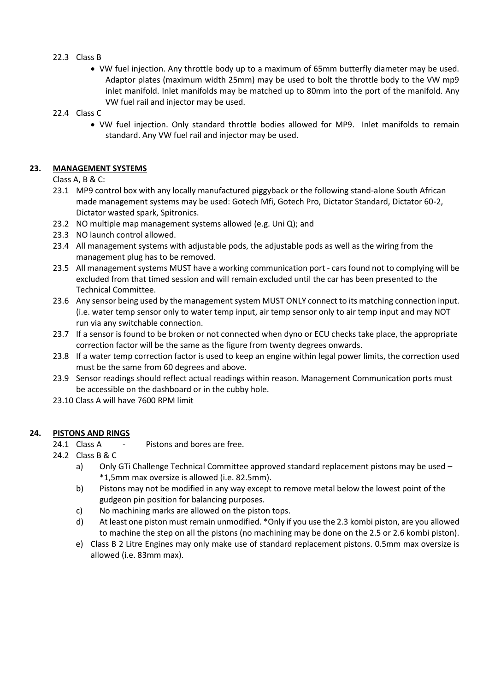# 22.3 Class B

- VW fuel injection. Any throttle body up to a maximum of 65mm butterfly diameter may be used. Adaptor plates (maximum width 25mm) may be used to bolt the throttle body to the VW mp9 inlet manifold. Inlet manifolds may be matched up to 80mm into the port of the manifold. Any VW fuel rail and injector may be used.
- 22.4 Class C
	- VW fuel injection. Only standard throttle bodies allowed for MP9. Inlet manifolds to remain standard. Any VW fuel rail and injector may be used.

#### **23. MANAGEMENT SYSTEMS**

Class A, B & C:

- 23.1 MP9 control box with any locally manufactured piggyback or the following stand-alone South African made management systems may be used: Gotech Mfi, Gotech Pro, Dictator Standard, Dictator 60-2, Dictator wasted spark, Spitronics.
- 23.2 NO multiple map management systems allowed (e.g. Uni Q); and
- 23.3 NO launch control allowed.
- 23.4 All management systems with adjustable pods, the adjustable pods as well as the wiring from the management plug has to be removed.
- 23.5 All management systems MUST have a working communication port cars found not to complying will be excluded from that timed session and will remain excluded until the car has been presented to the Technical Committee.
- 23.6 Any sensor being used by the management system MUST ONLY connect to its matching connection input. (i.e. water temp sensor only to water temp input, air temp sensor only to air temp input and may NOT run via any switchable connection.
- 23.7 If a sensor is found to be broken or not connected when dyno or ECU checks take place, the appropriate correction factor will be the same as the figure from twenty degrees onwards.
- 23.8 If a water temp correction factor is used to keep an engine within legal power limits, the correction used must be the same from 60 degrees and above.
- 23.9 Sensor readings should reflect actual readings within reason. Management Communication ports must be accessible on the dashboard or in the cubby hole.
- 23.10 Class A will have 7600 RPM limit

#### **24. PISTONS AND RINGS**

- 24.1 Class A Pistons and bores are free.
- 24.2 Class B & C
	- a) Only GTi Challenge Technical Committee approved standard replacement pistons may be used -\*1,5mm max oversize is allowed (i.e. 82.5mm).
	- b) Pistons may not be modified in any way except to remove metal below the lowest point of the gudgeon pin position for balancing purposes.
	- c) No machining marks are allowed on the piston tops.
	- d) At least one piston must remain unmodified. \*Only if you use the 2.3 kombi piston, are you allowed to machine the step on all the pistons (no machining may be done on the 2.5 or 2.6 kombi piston).
	- e) Class B 2 Litre Engines may only make use of standard replacement pistons. 0.5mm max oversize is allowed (i.e. 83mm max).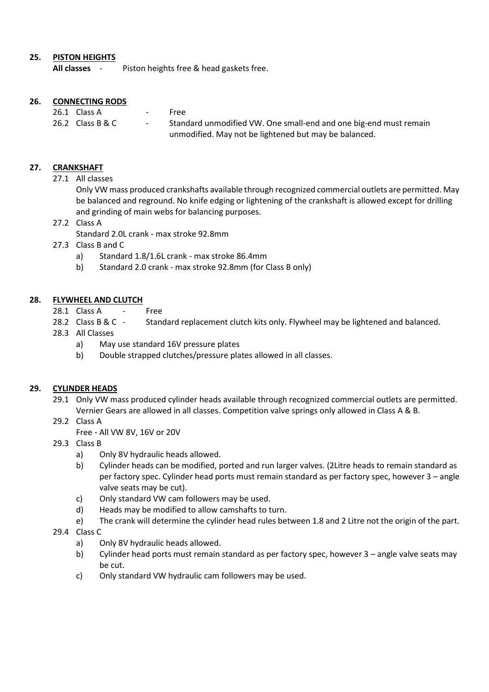# **25. PISTON HEIGHTS**

**All classes** - Piston heights free & head gaskets free.

# **26. CONNECTING RODS**

| 26.1 Class A     | $\sim$ | Free                                                              |
|------------------|--------|-------------------------------------------------------------------|
| 26.2 Class B & C | $\sim$ | Standard unmodified VW. One small-end and one big-end must remain |
|                  |        | unmodified. May not be lightened but may be balanced.             |

# **27. CRANKSHAFT**

27.1 All classes

Only VW mass produced crankshafts available through recognized commercial outlets are permitted. May be balanced and reground. No knife edging or lightening of the crankshaft is allowed except for drilling and grinding of main webs for balancing purposes.

27.2 Class A

Standard 2.0L crank - max stroke 92.8mm

- 27.3 Class B and C
	- a) Standard 1.8/1.6L crank max stroke 86.4mm
	- b) Standard 2.0 crank max stroke 92.8mm (for Class B only)

#### **28. FLYWHEEL AND CLUTCH**

- 28.1 Class A Free
- 28.2 Class B & C Standard replacement clutch kits only. Flywheel may be lightened and balanced.
- 28.3 All Classes
	- a) May use standard 16V pressure plates
	- b) Double strapped clutches/pressure plates allowed in all classes.

#### **29. CYLINDER HEADS**

- 29.1 Only VW mass produced cylinder heads available through recognized commercial outlets are permitted. Vernier Gears are allowed in all classes. Competition valve springs only allowed in Class A & B.
- 29.2 Class A
	- Free All VW 8V, 16V or 20V
- 29.3 Class B
	- a) Only 8V hydraulic heads allowed.
	- b) Cylinder heads can be modified, ported and run larger valves. (2Litre heads to remain standard as per factory spec. Cylinder head ports must remain standard as per factory spec, however 3 – angle valve seats may be cut).
	- c) Only standard VW cam followers may be used.
	- d) Heads may be modified to allow camshafts to turn.
	- e) The crank will determine the cylinder head rules between 1.8 and 2 Litre not the origin of the part.

#### 29.4 Class C

- a) Only 8V hydraulic heads allowed.
- b) Cylinder head ports must remain standard as per factory spec, however 3 angle valve seats may be cut.
- c) Only standard VW hydraulic cam followers may be used.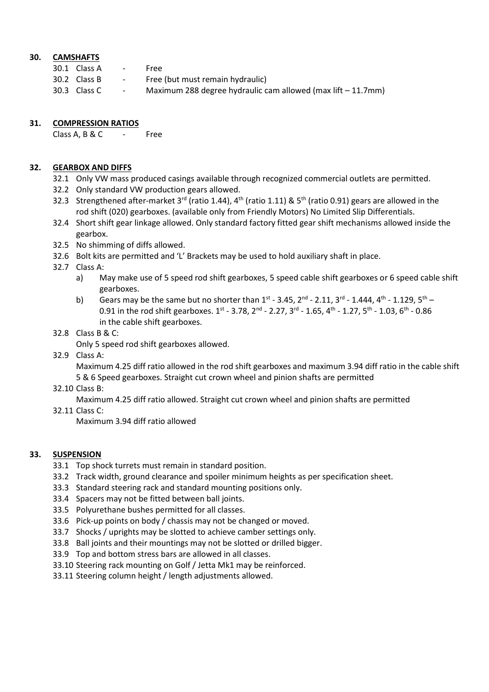# **30. CAMSHAFTS**

| 30.1 Class A |
|--------------|
|              |

- 30.2 Class B Free (but must remain hydraulic)
- 30.3 Class C Maximum 288 degree hydraulic cam allowed (max lift 11.7mm)

#### **31. COMPRESSION RATIOS**

Class A, B & C - Free

# **32. GEARBOX AND DIFFS**

- 32.1 Only VW mass produced casings available through recognized commercial outlets are permitted.
- 32.2 Only standard VW production gears allowed.
- 32.3 Strengthened after-market 3<sup>rd</sup> (ratio 1.44), 4<sup>th</sup> (ratio 1.11) & 5<sup>th</sup> (ratio 0.91) gears are allowed in the rod shift (020) gearboxes. (available only from Friendly Motors) No Limited Slip Differentials.
- 32.4 Short shift gear linkage allowed. Only standard factory fitted gear shift mechanisms allowed inside the gearbox.
- 32.5 No shimming of diffs allowed.
- 32.6 Bolt kits are permitted and 'L' Brackets may be used to hold auxiliary shaft in place.
- 32.7 Class A:
	- a) May make use of 5 speed rod shift gearboxes, 5 speed cable shift gearboxes or 6 speed cable shift gearboxes.
	- b) Gears may be the same but no shorter than  $1^{st}$  3.45,  $2^{nd}$  2.11,  $3^{rd}$  1.444,  $4^{th}$  1.129,  $5^{th}$  -0.91 in the rod shift gearboxes.  $1^{st}$  - 3.78,  $2^{nd}$  - 2.27,  $3^{rd}$  - 1.65,  $4^{th}$  - 1.27,  $5^{th}$  - 1.03,  $6^{th}$  - 0.86 in the cable shift gearboxes.
- 32.8 Class B & C:
	- Only 5 speed rod shift gearboxes allowed.
- 32.9 Class A:

Maximum 4.25 diff ratio allowed in the rod shift gearboxes and maximum 3.94 diff ratio in the cable shift 5 & 6 Speed gearboxes. Straight cut crown wheel and pinion shafts are permitted

32.10 Class B:

Maximum 4.25 diff ratio allowed. Straight cut crown wheel and pinion shafts are permitted

32.11 Class C:

Maximum 3.94 diff ratio allowed

# **33. SUSPENSION**

- 33.1 Top shock turrets must remain in standard position.
- 33.2 Track width, ground clearance and spoiler minimum heights as per specification sheet.
- 33.3 Standard steering rack and standard mounting positions only.
- 33.4 Spacers may not be fitted between ball joints.
- 33.5 Polyurethane bushes permitted for all classes.
- 33.6 Pick-up points on body / chassis may not be changed or moved.
- 33.7 Shocks / uprights may be slotted to achieve camber settings only.
- 33.8 Ball joints and their mountings may not be slotted or drilled bigger.
- 33.9 Top and bottom stress bars are allowed in all classes.
- 33.10 Steering rack mounting on Golf / Jetta Mk1 may be reinforced.
- 33.11 Steering column height / length adjustments allowed.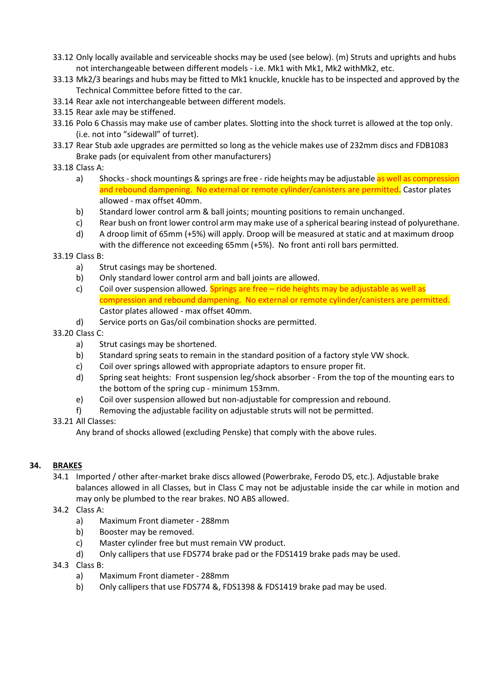- 33.12 Only locally available and serviceable shocks may be used (see below). (m) Struts and uprights and hubs not interchangeable between different models - i.e. Mk1 with Mk1, Mk2 withMk2, etc.
- 33.13 Mk2/3 bearings and hubs may be fitted to Mk1 knuckle, knuckle has to be inspected and approved by the Technical Committee before fitted to the car.
- 33.14 Rear axle not interchangeable between different models.
- 33.15 Rear axle may be stiffened.
- 33.16 Polo 6 Chassis may make use of camber plates. Slotting into the shock turret is allowed at the top only. (i.e. not into "sidewall" of turret).
- 33.17 Rear Stub axle upgrades are permitted so long as the vehicle makes use of 232mm discs and FDB1083 Brake pads (or equivalent from other manufacturers)
- 33.18 Class A:
	- a) Shocks shock mountings & springs are free ride heights may be adjustable as well as compression and rebound dampening. No external or remote cylinder/canisters are permitted. Castor plates allowed - max offset 40mm.
	- b) Standard lower control arm & ball joints; mounting positions to remain unchanged.
	- c) Rear bush on front lower control arm may make use of a spherical bearing instead of polyurethane.
	- d) A droop limit of 65mm (+5%) will apply. Droop will be measured at static and at maximum droop with the difference not exceeding 65mm (+5%). No front anti roll bars permitted.
- 33.19 Class B:
	- a) Strut casings may be shortened.
	- b) Only standard lower control arm and ball joints are allowed.
	- c) Coil over suspension allowed. Springs are free  $-$  ride heights may be adjustable as well as compression and rebound dampening. No external or remote cylinder/canisters are permitted. Castor plates allowed - max offset 40mm.
	- d) Service ports on Gas/oil combination shocks are permitted.

# 33.20 Class C:

- a) Strut casings may be shortened.
- b) Standard spring seats to remain in the standard position of a factory style VW shock.
- c) Coil over springs allowed with appropriate adaptors to ensure proper fit.
- d) Spring seat heights: Front suspension leg/shock absorber From the top of the mounting ears to the bottom of the spring cup - minimum 153mm.
- e) Coil over suspension allowed but non-adjustable for compression and rebound.
- f) Removing the adjustable facility on adjustable struts will not be permitted.

# 33.21 All Classes:

Any brand of shocks allowed (excluding Penske) that comply with the above rules.

# **34. BRAKES**

- 34.1 Imported / other after-market brake discs allowed (Powerbrake, Ferodo DS, etc.). Adjustable brake balances allowed in all Classes, but in Class C may not be adjustable inside the car while in motion and may only be plumbed to the rear brakes. NO ABS allowed.
- 34.2 Class A:
	- a) Maximum Front diameter 288mm
	- b) Booster may be removed.
	- c) Master cylinder free but must remain VW product.
	- d) Only callipers that use FDS774 brake pad or the FDS1419 brake pads may be used.
- 34.3 Class B:
	- a) Maximum Front diameter 288mm
	- b) Only callipers that use FDS774 &, FDS1398 & FDS1419 brake pad may be used.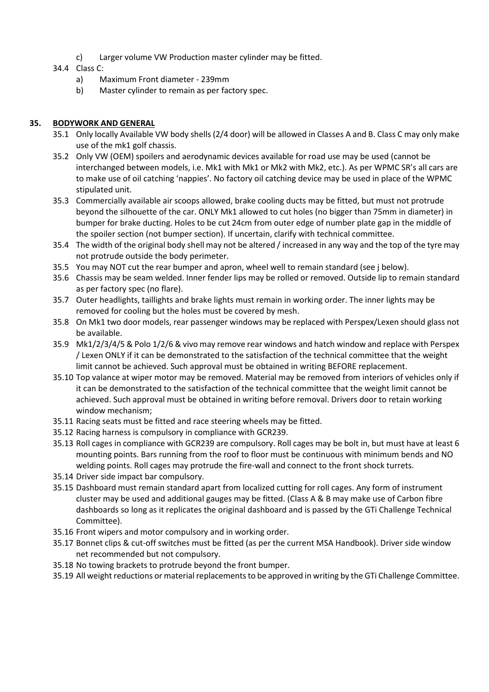- c) Larger volume VW Production master cylinder may be fitted.
- 34.4 Class C:
	- a) Maximum Front diameter 239mm
	- b) Master cylinder to remain as per factory spec.

# **35. BODYWORK AND GENERAL**

- 35.1 Only locally Available VW body shells (2/4 door) will be allowed in Classes A and B. Class C may only make use of the mk1 golf chassis.
- 35.2 Only VW (OEM) spoilers and aerodynamic devices available for road use may be used (cannot be interchanged between models, i.e. Mk1 with Mk1 or Mk2 with Mk2, etc.). As per WPMC SR's all cars are to make use of oil catching 'nappies'. No factory oil catching device may be used in place of the WPMC stipulated unit.
- 35.3 Commercially available air scoops allowed, brake cooling ducts may be fitted, but must not protrude beyond the silhouette of the car. ONLY Mk1 allowed to cut holes (no bigger than 75mm in diameter) in bumper for brake ducting. Holes to be cut 24cm from outer edge of number plate gap in the middle of the spoiler section (not bumper section). If uncertain, clarify with technical committee.
- 35.4 The width of the original body shell may not be altered / increased in any way and the top of the tyre may not protrude outside the body perimeter.
- 35.5 You may NOT cut the rear bumper and apron, wheel well to remain standard (see j below).
- 35.6 Chassis may be seam welded. Inner fender lips may be rolled or removed. Outside lip to remain standard as per factory spec (no flare).
- 35.7 Outer headlights, taillights and brake lights must remain in working order. The inner lights may be removed for cooling but the holes must be covered by mesh.
- 35.8 On Mk1 two door models, rear passenger windows may be replaced with Perspex/Lexen should glass not be available.
- 35.9 Mk1/2/3/4/5 & Polo 1/2/6 & vivo may remove rear windows and hatch window and replace with Perspex / Lexen ONLY if it can be demonstrated to the satisfaction of the technical committee that the weight limit cannot be achieved. Such approval must be obtained in writing BEFORE replacement.
- 35.10 Top valance at wiper motor may be removed. Material may be removed from interiors of vehicles only if it can be demonstrated to the satisfaction of the technical committee that the weight limit cannot be achieved. Such approval must be obtained in writing before removal. Drivers door to retain working window mechanism;
- 35.11 Racing seats must be fitted and race steering wheels may be fitted.
- 35.12 Racing harness is compulsory in compliance with GCR239.
- 35.13 Roll cages in compliance with GCR239 are compulsory. Roll cages may be bolt in, but must have at least 6 mounting points. Bars running from the roof to floor must be continuous with minimum bends and NO welding points. Roll cages may protrude the fire-wall and connect to the front shock turrets.
- 35.14 Driver side impact bar compulsory.
- 35.15 Dashboard must remain standard apart from localized cutting for roll cages. Any form of instrument cluster may be used and additional gauges may be fitted. (Class A & B may make use of Carbon fibre dashboards so long as it replicates the original dashboard and is passed by the GTi Challenge Technical Committee).
- 35.16 Front wipers and motor compulsory and in working order.
- 35.17 Bonnet clips & cut-off switches must be fitted (as per the current MSA Handbook). Driver side window net recommended but not compulsory.
- 35.18 No towing brackets to protrude beyond the front bumper.
- 35.19 All weight reductions or material replacements to be approved in writing by the GTi Challenge Committee.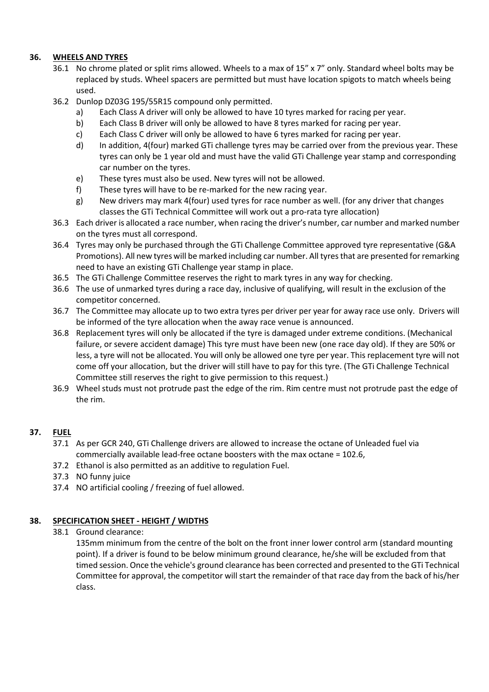# **36. WHEELS AND TYRES**

- 36.1 No chrome plated or split rims allowed. Wheels to a max of 15" x 7" only. Standard wheel bolts may be replaced by studs. Wheel spacers are permitted but must have location spigots to match wheels being used.
- 36.2 Dunlop DZ03G 195/55R15 compound only permitted.
	- a) Each Class A driver will only be allowed to have 10 tyres marked for racing per year.
	- b) Each Class B driver will only be allowed to have 8 tyres marked for racing per year.
	- c) Each Class C driver will only be allowed to have 6 tyres marked for racing per year.
	- d) In addition, 4(four) marked GTi challenge tyres may be carried over from the previous year. These tyres can only be 1 year old and must have the valid GTi Challenge year stamp and corresponding car number on the tyres.
	- e) These tyres must also be used. New tyres will not be allowed.
	- f) These tyres will have to be re-marked for the new racing year.
	- g) New drivers may mark 4(four) used tyres for race number as well. (for any driver that changes classes the GTi Technical Committee will work out a pro-rata tyre allocation)
- 36.3 Each driver is allocated a race number, when racing the driver's number, car number and marked number on the tyres must all correspond.
- 36.4 Tyres may only be purchased through the GTi Challenge Committee approved tyre representative (G&A Promotions). All new tyres will be marked including car number. All tyres that are presented for remarking need to have an existing GTi Challenge year stamp in place.
- 36.5 The GTi Challenge Committee reserves the right to mark tyres in any way for checking.
- 36.6 The use of unmarked tyres during a race day, inclusive of qualifying, will result in the exclusion of the competitor concerned.
- 36.7 The Committee may allocate up to two extra tyres per driver per year for away race use only. Drivers will be informed of the tyre allocation when the away race venue is announced.
- 36.8 Replacement tyres will only be allocated if the tyre is damaged under extreme conditions. (Mechanical failure, or severe accident damage) This tyre must have been new (one race day old). If they are 50% or less, a tyre will not be allocated. You will only be allowed one tyre per year. This replacement tyre will not come off your allocation, but the driver will still have to pay for this tyre. (The GTi Challenge Technical Committee still reserves the right to give permission to this request.)
- 36.9 Wheel studs must not protrude past the edge of the rim. Rim centre must not protrude past the edge of the rim.

# **37. FUEL**

- 37.1 As per GCR 240, GTi Challenge drivers are allowed to increase the octane of Unleaded fuel via commercially available lead-free octane boosters with the max octane = 102.6,
- 37.2 Ethanol is also permitted as an additive to regulation Fuel.
- 37.3 NO funny juice
- 37.4 NO artificial cooling / freezing of fuel allowed.

# **38. SPECIFICATION SHEET - HEIGHT / WIDTHS**

38.1 Ground clearance:

135mm minimum from the centre of the bolt on the front inner lower control arm (standard mounting point). If a driver is found to be below minimum ground clearance, he/she will be excluded from that timed session. Once the vehicle's ground clearance has been corrected and presented to the GTi Technical Committee for approval, the competitor will start the remainder of that race day from the back of his/her class.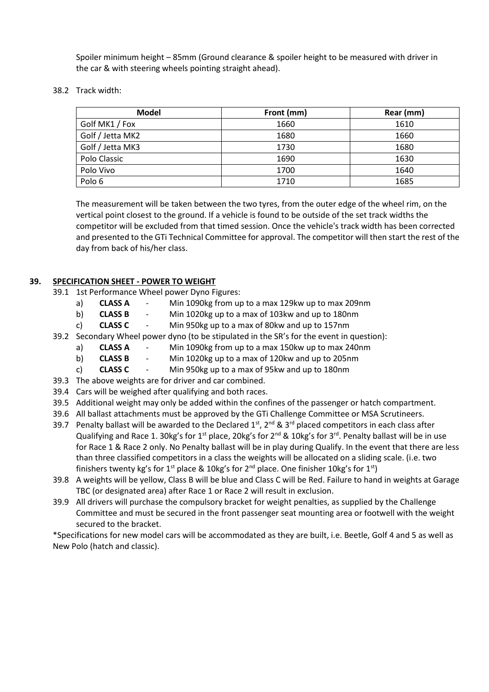Spoiler minimum height – 85mm (Ground clearance & spoiler height to be measured with driver in the car & with steering wheels pointing straight ahead).

38.2 Track width:

| <b>Model</b>     | Front (mm) | Rear (mm) |
|------------------|------------|-----------|
| Golf MK1 / Fox   | 1660       | 1610      |
| Golf / Jetta MK2 | 1680       | 1660      |
| Golf / Jetta MK3 | 1730       | 1680      |
| Polo Classic     | 1690       | 1630      |
| Polo Vivo        | 1700       | 1640      |
| Polo 6           | 1710       | 1685      |

The measurement will be taken between the two tyres, from the outer edge of the wheel rim, on the vertical point closest to the ground. If a vehicle is found to be outside of the set track widths the competitor will be excluded from that timed session. Once the vehicle's track width has been corrected and presented to the GTi Technical Committee for approval. The competitor will then start the rest of the day from back of his/her class.

# **39. SPECIFICATION SHEET - POWER TO WEIGHT**

- 39.1 1st Performance Wheel power Dyno Figures:
	- a) **CLASS A** Min 1090kg from up to a max 129kw up to max 209nm
	- b) **CLASS B** Min 1020kg up to a max of 103kw and up to 180nm
	- c) **CLASS C** Min 950kg up to a max of 80kw and up to 157nm
- 39.2 Secondary Wheel power dyno (to be stipulated in the SR's for the event in question):
	- a) **CLASS A** Min 1090kg from up to a max 150kw up to max 240nm
	- b) **CLASS B** Min 1020kg up to a max of 120kw and up to 205nm
	- c) **CLASS C** Min 950kg up to a max of 95kw and up to 180nm
- 39.3 The above weights are for driver and car combined.
- 39.4 Cars will be weighed after qualifying and both races.
- 39.5 Additional weight may only be added within the confines of the passenger or hatch compartment.
- 39.6 All ballast attachments must be approved by the GTi Challenge Committee or MSA Scrutineers.
- 39.7 Penalty ballast will be awarded to the Declared  $1^{st}$ ,  $2^{nd}$  &  $3^{rd}$  placed competitors in each class after Qualifying and Race 1. 30kg's for 1<sup>st</sup> place, 20kg's for  $2^{nd}$  & 10kg's for 3<sup>rd</sup>. Penalty ballast will be in use for Race 1 & Race 2 only. No Penalty ballast will be in play during Qualify. In the event that there are less than three classified competitors in a class the weights will be allocated on a sliding scale. (i.e. two finishers twenty kg's for 1<sup>st</sup> place & 10kg's for 2<sup>nd</sup> place. One finisher 10kg's for 1<sup>st</sup>)
- 39.8 A weights will be yellow, Class B will be blue and Class C will be Red. Failure to hand in weights at Garage TBC (or designated area) after Race 1 or Race 2 will result in exclusion.
- 39.9 All drivers will purchase the compulsory bracket for weight penalties, as supplied by the Challenge Committee and must be secured in the front passenger seat mounting area or footwell with the weight secured to the bracket.

\*Specifications for new model cars will be accommodated as they are built, i.e. Beetle, Golf 4 and 5 as well as New Polo (hatch and classic).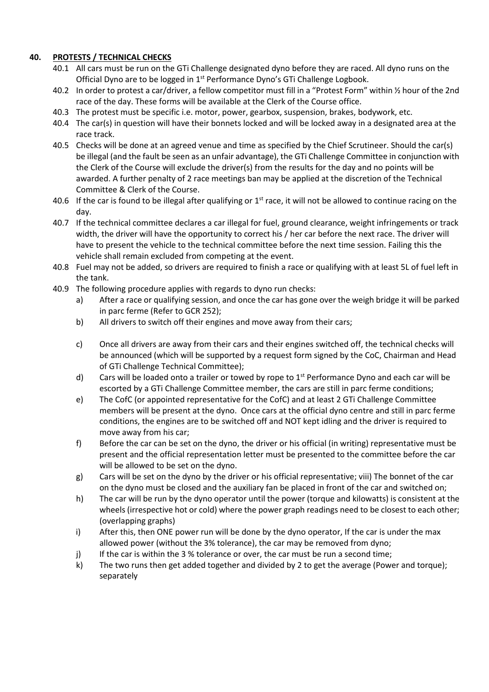# **40. PROTESTS / TECHNICAL CHECKS**

- 40.1 All cars must be run on the GTi Challenge designated dyno before they are raced. All dyno runs on the Official Dyno are to be logged in 1<sup>st</sup> Performance Dyno's GTi Challenge Logbook.
- 40.2 In order to protest a car/driver, a fellow competitor must fill in a "Protest Form" within ½ hour of the 2nd race of the day. These forms will be available at the Clerk of the Course office.
- 40.3 The protest must be specific i.e. motor, power, gearbox, suspension, brakes, bodywork, etc.
- 40.4 The car(s) in question will have their bonnets locked and will be locked away in a designated area at the race track.
- 40.5 Checks will be done at an agreed venue and time as specified by the Chief Scrutineer. Should the car(s) be illegal (and the fault be seen as an unfair advantage), the GTi Challenge Committee in conjunction with the Clerk of the Course will exclude the driver(s) from the results for the day and no points will be awarded. A further penalty of 2 race meetings ban may be applied at the discretion of the Technical Committee & Clerk of the Course.
- 40.6 If the car is found to be illegal after qualifying or  $1<sup>st</sup>$  race, it will not be allowed to continue racing on the day.
- 40.7 If the technical committee declares a car illegal for fuel, ground clearance, weight infringements or track width, the driver will have the opportunity to correct his / her car before the next race. The driver will have to present the vehicle to the technical committee before the next time session. Failing this the vehicle shall remain excluded from competing at the event.
- 40.8 Fuel may not be added, so drivers are required to finish a race or qualifying with at least 5L of fuel left in the tank.
- 40.9 The following procedure applies with regards to dyno run checks:
	- a) After a race or qualifying session, and once the car has gone over the weigh bridge it will be parked in parc ferme (Refer to GCR 252);
	- b) All drivers to switch off their engines and move away from their cars;
	- c) Once all drivers are away from their cars and their engines switched off, the technical checks will be announced (which will be supported by a request form signed by the CoC, Chairman and Head of GTi Challenge Technical Committee);
	- d) Cars will be loaded onto a trailer or towed by rope to  $1<sup>st</sup>$  Performance Dyno and each car will be escorted by a GTi Challenge Committee member, the cars are still in parc ferme conditions;
	- e) The CofC (or appointed representative for the CofC) and at least 2 GTi Challenge Committee members will be present at the dyno. Once cars at the official dyno centre and still in parc ferme conditions, the engines are to be switched off and NOT kept idling and the driver is required to move away from his car;
	- f) Before the car can be set on the dyno, the driver or his official (in writing) representative must be present and the official representation letter must be presented to the committee before the car will be allowed to be set on the dyno.
	- g) Cars will be set on the dyno by the driver or his official representative; viii) The bonnet of the car on the dyno must be closed and the auxiliary fan be placed in front of the car and switched on;
	- h) The car will be run by the dyno operator until the power (torque and kilowatts) is consistent at the wheels (irrespective hot or cold) where the power graph readings need to be closest to each other; (overlapping graphs)
	- i) After this, then ONE power run will be done by the dyno operator, If the car is under the max allowed power (without the 3% tolerance), the car may be removed from dyno;
	- j) If the car is within the 3 % tolerance or over, the car must be run a second time;
	- k) The two runs then get added together and divided by 2 to get the average (Power and torque); separately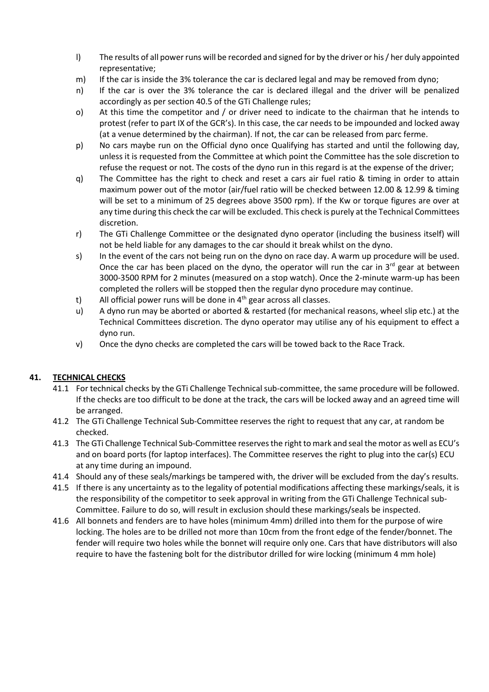- l) The results of all power runs will be recorded and signed for by the driver or his / her duly appointed representative;
- m) If the car is inside the 3% tolerance the car is declared legal and may be removed from dyno;
- n) If the car is over the 3% tolerance the car is declared illegal and the driver will be penalized accordingly as per section 40.5 of the GTi Challenge rules;
- o) At this time the competitor and / or driver need to indicate to the chairman that he intends to protest (refer to part IX of the GCR's). In this case, the car needs to be impounded and locked away (at a venue determined by the chairman). If not, the car can be released from parc ferme.
- p) No cars maybe run on the Official dyno once Qualifying has started and until the following day, unless it is requested from the Committee at which point the Committee has the sole discretion to refuse the request or not. The costs of the dyno run in this regard is at the expense of the driver;
- q) The Committee has the right to check and reset a cars air fuel ratio & timing in order to attain maximum power out of the motor (air/fuel ratio will be checked between 12.00 & 12.99 & timing will be set to a minimum of 25 degrees above 3500 rpm). If the Kw or torque figures are over at any time during this check the car will be excluded. This check is purely at the Technical Committees discretion.
- r) The GTi Challenge Committee or the designated dyno operator (including the business itself) will not be held liable for any damages to the car should it break whilst on the dyno.
- s) In the event of the cars not being run on the dyno on race day. A warm up procedure will be used. Once the car has been placed on the dyno, the operator will run the car in  $3^{rd}$  gear at between 3000-3500 RPM for 2 minutes (measured on a stop watch). Once the 2-minute warm-up has been completed the rollers will be stopped then the regular dyno procedure may continue.
- t) All official power runs will be done in  $4<sup>th</sup>$  gear across all classes.
- u) A dyno run may be aborted or aborted & restarted (for mechanical reasons, wheel slip etc.) at the Technical Committees discretion. The dyno operator may utilise any of his equipment to effect a dyno run.
- v) Once the dyno checks are completed the cars will be towed back to the Race Track.

# **41. TECHNICAL CHECKS**

- 41.1 For technical checks by the GTi Challenge Technical sub-committee, the same procedure will be followed. If the checks are too difficult to be done at the track, the cars will be locked away and an agreed time will be arranged.
- 41.2 The GTi Challenge Technical Sub-Committee reserves the right to request that any car, at random be checked.
- 41.3 The GTi Challenge Technical Sub-Committee reserves the right to mark and seal the motor as well as ECU's and on board ports (for laptop interfaces). The Committee reserves the right to plug into the car(s) ECU at any time during an impound.
- 41.4 Should any of these seals/markings be tampered with, the driver will be excluded from the day's results.
- 41.5 If there is any uncertainty as to the legality of potential modifications affecting these markings/seals, it is the responsibility of the competitor to seek approval in writing from the GTi Challenge Technical sub-Committee. Failure to do so, will result in exclusion should these markings/seals be inspected.
- 41.6 All bonnets and fenders are to have holes (minimum 4mm) drilled into them for the purpose of wire locking. The holes are to be drilled not more than 10cm from the front edge of the fender/bonnet. The fender will require two holes while the bonnet will require only one. Cars that have distributors will also require to have the fastening bolt for the distributor drilled for wire locking (minimum 4 mm hole)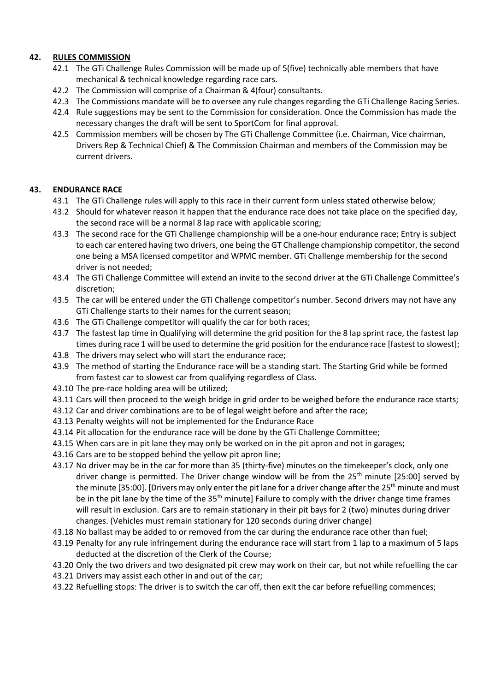# **42. RULES COMMISSION**

- 42.1 The GTi Challenge Rules Commission will be made up of 5(five) technically able members that have mechanical & technical knowledge regarding race cars.
- 42.2 The Commission will comprise of a Chairman & 4(four) consultants.
- 42.3 The Commissions mandate will be to oversee any rule changes regarding the GTi Challenge Racing Series.
- 42.4 Rule suggestions may be sent to the Commission for consideration. Once the Commission has made the necessary changes the draft will be sent to SportCom for final approval.
- 42.5 Commission members will be chosen by The GTi Challenge Committee (i.e. Chairman, Vice chairman, Drivers Rep & Technical Chief) & The Commission Chairman and members of the Commission may be current drivers.

# **43. ENDURANCE RACE**

- 43.1 The GTi Challenge rules will apply to this race in their current form unless stated otherwise below;
- 43.2 Should for whatever reason it happen that the endurance race does not take place on the specified day, the second race will be a normal 8 lap race with applicable scoring;
- 43.3 The second race for the GTi Challenge championship will be a one-hour endurance race; Entry is subject to each car entered having two drivers, one being the GT Challenge championship competitor, the second one being a MSA licensed competitor and WPMC member. GTi Challenge membership for the second driver is not needed;
- 43.4 The GTi Challenge Committee will extend an invite to the second driver at the GTi Challenge Committee's discretion;
- 43.5 The car will be entered under the GTi Challenge competitor's number. Second drivers may not have any GTi Challenge starts to their names for the current season;
- 43.6 The GTi Challenge competitor will qualify the car for both races;
- 43.7 The fastest lap time in Qualifying will determine the grid position for the 8 lap sprint race, the fastest lap times during race 1 will be used to determine the grid position for the endurance race [fastest to slowest];
- 43.8 The drivers may select who will start the endurance race;
- 43.9 The method of starting the Endurance race will be a standing start. The Starting Grid while be formed from fastest car to slowest car from qualifying regardless of Class.
- 43.10 The pre-race holding area will be utilized;
- 43.11 Cars will then proceed to the weigh bridge in grid order to be weighed before the endurance race starts;
- 43.12 Car and driver combinations are to be of legal weight before and after the race;
- 43.13 Penalty weights will not be implemented for the Endurance Race
- 43.14 Pit allocation for the endurance race will be done by the GTi Challenge Committee;
- 43.15 When cars are in pit lane they may only be worked on in the pit apron and not in garages;
- 43.16 Cars are to be stopped behind the yellow pit apron line;
- 43.17 No driver may be in the car for more than 35 (thirty-five) minutes on the timekeeper's clock, only one driver change is permitted. The Driver change window will be from the  $25<sup>th</sup>$  minute [25:00] served by the minute [35:00]. [Drivers may only enter the pit lane for a driver change after the  $25<sup>th</sup>$  minute and must be in the pit lane by the time of the 35<sup>th</sup> minute] Failure to comply with the driver change time frames will result in exclusion. Cars are to remain stationary in their pit bays for 2 (two) minutes during driver changes. (Vehicles must remain stationary for 120 seconds during driver change)
- 43.18 No ballast may be added to or removed from the car during the endurance race other than fuel;
- 43.19 Penalty for any rule infringement during the endurance race will start from 1 lap to a maximum of 5 laps deducted at the discretion of the Clerk of the Course;
- 43.20 Only the two drivers and two designated pit crew may work on their car, but not while refuelling the car
- 43.21 Drivers may assist each other in and out of the car;
- 43.22 Refuelling stops: The driver is to switch the car off, then exit the car before refuelling commences;